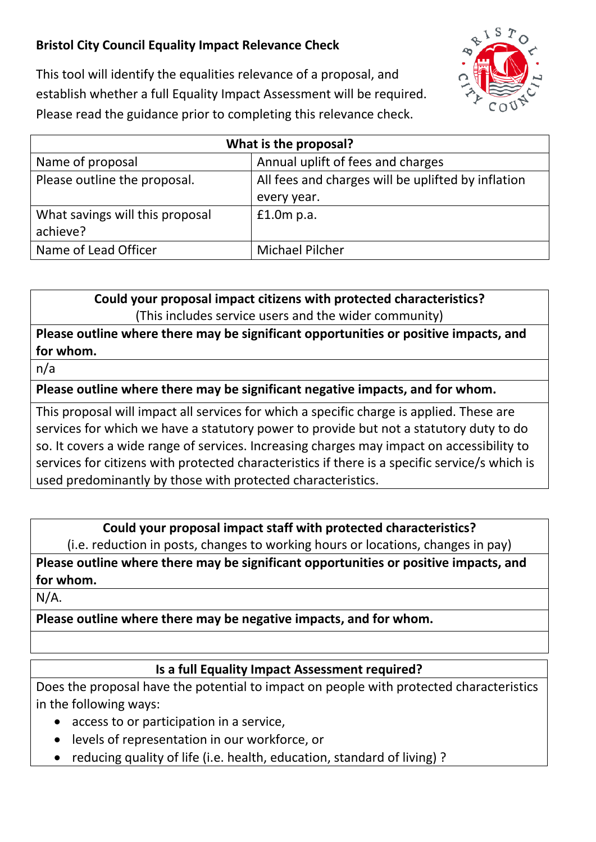# **Bristol City Council Equality Impact Relevance Check**



This tool will identify the equalities relevance of a proposal, and establish whether a full Equality Impact Assessment will be required. Please read the guidance prior to completing this relevance check.

| What is the proposal?           |                                                    |
|---------------------------------|----------------------------------------------------|
| Name of proposal                | Annual uplift of fees and charges                  |
| Please outline the proposal.    | All fees and charges will be uplifted by inflation |
|                                 | every year.                                        |
| What savings will this proposal | $£1.0m$ p.a.                                       |
| achieve?                        |                                                    |
| Name of Lead Officer            | <b>Michael Pilcher</b>                             |

**Could your proposal impact citizens with protected characteristics?** (This includes service users and the wider community)

## **Please outline where there may be significant opportunities or positive impacts, and for whom.**

n/a

## **Please outline where there may be significant negative impacts, and for whom.**

This proposal will impact all services for which a specific charge is applied. These are services for which we have a statutory power to provide but not a statutory duty to do so. It covers a wide range of services. Increasing charges may impact on accessibility to services for citizens with protected characteristics if there is a specific service/s which is used predominantly by those with protected characteristics.

### **Could your proposal impact staff with protected characteristics?**

(i.e. reduction in posts, changes to working hours or locations, changes in pay)

**Please outline where there may be significant opportunities or positive impacts, and for whom.**

N/A.

**Please outline where there may be negative impacts, and for whom.** 

## **Is a full Equality Impact Assessment required?**

Does the proposal have the potential to impact on people with protected characteristics in the following ways:

- access to or participation in a service,
- levels of representation in our workforce, or
- reducing quality of life (i.e. health, education, standard of living) ?